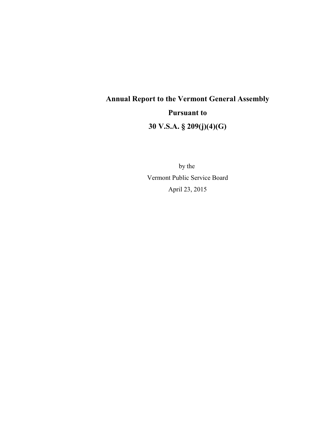# **Annual Report to the Vermont General Assembly Pursuant to 30 V.S.A. § 209(j)(4)(G)**

by the Vermont Public Service Board April 23, 2015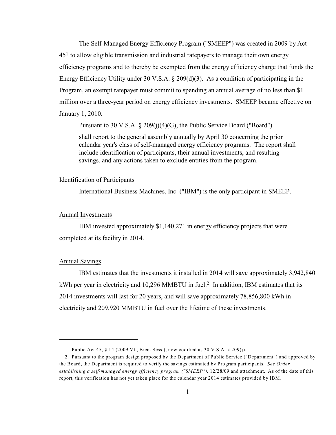The Self-Managed Energy Efficiency Program ("SMEEP") was created in 2009 by Act  $45<sup>1</sup>$  to allow eligible transmission and industrial ratepayers to manage their own energy efficiency programs and to thereby be exempted from the energy efficiency charge that funds the Energy Efficiency Utility under 30 V.S.A.  $\S 209(d)(3)$ . As a condition of participating in the Program, an exempt ratepayer must commit to spending an annual average of no less than \$1 million over a three-year period on energy efficiency investments. SMEEP became effective on January 1, 2010.

Pursuant to 30 V.S.A. § 209(j)(4)(G), the Public Service Board ("Board")

shall report to the general assembly annually by April 30 concerning the prior calendar year's class of self-managed energy efficiency programs. The report shall include identification of participants, their annual investments, and resulting savings, and any actions taken to exclude entities from the program.

#### Identification of Participants

International Business Machines, Inc. ("IBM") is the only participant in SMEEP.

#### Annual Investments

IBM invested approximately \$1,140,271 in energy efficiency projects that were completed at its facility in 2014.

### Annual Savings

IBM estimates that the investments it installed in 2014 will save approximately 3,942,840 kWh per year in electricity and 10,296 MMBTU in fuel.<sup>2</sup> In addition, IBM estimates that its 2014 investments will last for 20 years, and will save approximately 78,856,800 kWh in electricity and 209,920 MMBTU in fuel over the lifetime of these investments.

<sup>1.</sup> Public Act 45, § 14 (2009 Vt., Bien. Sess.), now codified as 30 V.S.A. § 209(j).

<sup>2.</sup> Pursuant to the program design proposed by the Department of Public Service ("Department") and approved by the Board, the Department is required to verify the savings estimated by Program participants. *See Order establishing a self-managed energy efficiency program ("SMEEP"),* 12/28/09 and attachment. As of the date of this report, this verification has not yet taken place for the calendar year 2014 estimates provided by IBM.